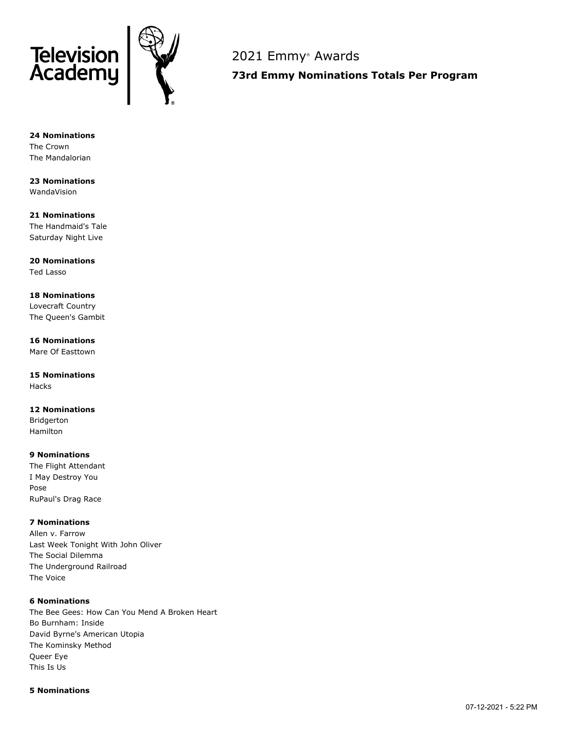



2021 Emmy ® Awards

**73rd Emmy Nominations Totals Per Program**

**24 Nominations** The Crown The Mandalorian

**23 Nominations** WandaVision

**21 Nominations** The Handmaid's Tale Saturday Night Live

**20 Nominations** Ted Lasso

**18 Nominations** Lovecraft Country The Queen's Gambit

**16 Nominations** Mare Of Easttown

**15 Nominations** Hacks

**12 Nominations** Bridgerton Hamilton

**9 Nominations** The Flight Attendant I May Destroy You Pose RuPaul's Drag Race

**7 Nominations**

Allen v. Farrow Last Week Tonight With John Oliver The Social Dilemma The Underground Railroad The Voice

### **6 Nominations**

The Bee Gees: How Can You Mend A Broken Heart Bo Burnham: Inside David Byrne's American Utopia The Kominsky Method Queer Eye This Is Us

### **5 Nominations**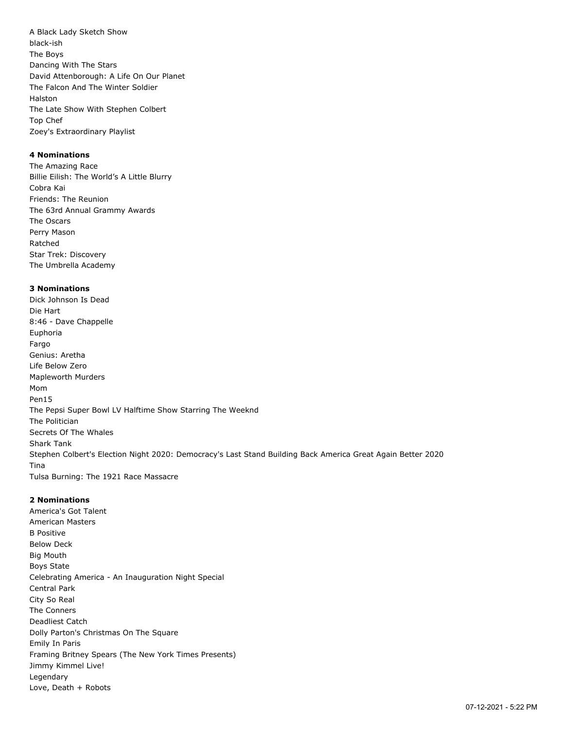A Black Lady Sketch Show black-ish The Boys Dancing With The Stars David Attenborough: A Life On Our Planet The Falcon And The Winter Soldier Halston The Late Show With Stephen Colbert Top Chef Zoey's Extraordinary Playlist

# **4 Nominations**

The Amazing Race Billie Eilish: The World's A Little Blurry Cobra Kai Friends: The Reunion The 63rd Annual Grammy Awards The Oscars Perry Mason Ratched Star Trek: Discovery The Umbrella Academy

# **3 Nominations**

Dick Johnson Is Dead Die Hart 8:46 - Dave Chappelle Euphoria Fargo Genius: Aretha Life Below Zero Mapleworth Murders Mom Pen15 The Pepsi Super Bowl LV Halftime Show Starring The Weeknd The Politician Secrets Of The Whales Shark Tank Stephen Colbert's Election Night 2020: Democracy's Last Stand Building Back America Great Again Better 2020 Tina Tulsa Burning: The 1921 Race Massacre

### **2 Nominations**

America's Got Talent American Masters B Positive Below Deck Big Mouth Boys State Celebrating America - An Inauguration Night Special Central Park City So Real The Conners Deadliest Catch Dolly Parton's Christmas On The Square Emily In Paris Framing Britney Spears (The New York Times Presents) Jimmy Kimmel Live! Legendary Love, Death + Robots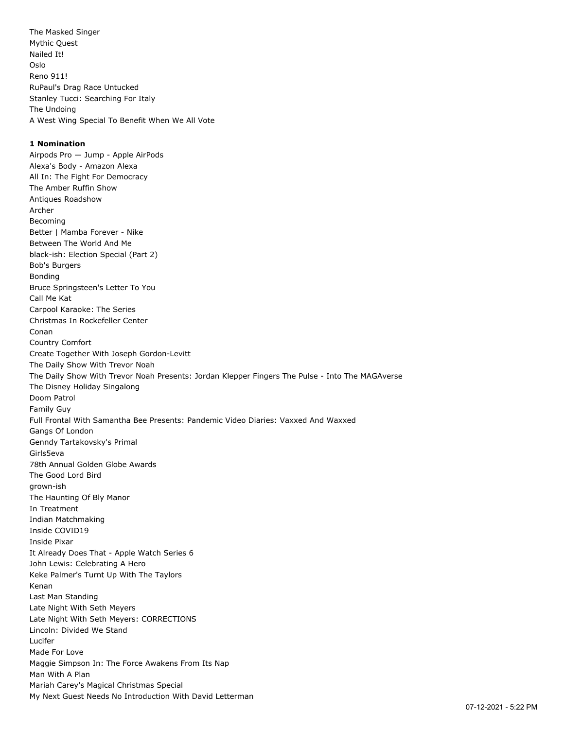The Masked Singer Mythic Quest Nailed It! Oslo Reno 911! RuPaul's Drag Race Untucked Stanley Tucci: Searching For Italy The Undoing A West Wing Special To Benefit When We All Vote

### **1 Nomination**

Airpods Pro — Jump - Apple AirPods Alexa's Body - Amazon Alexa All In: The Fight For Democracy The Amber Ruffin Show Antiques Roadshow Archer Becoming Better | Mamba Forever - Nike Between The World And Me black-ish: Election Special (Part 2) Bob's Burgers Bonding Bruce Springsteen's Letter To You Call Me Kat Carpool Karaoke: The Series Christmas In Rockefeller Center Conan Country Comfort Create Together With Joseph Gordon-Levitt The Daily Show With Trevor Noah The Daily Show With Trevor Noah Presents: Jordan Klepper Fingers The Pulse - Into The MAGAverse The Disney Holiday Singalong Doom Patrol Family Guy Full Frontal With Samantha Bee Presents: Pandemic Video Diaries: Vaxxed And Waxxed Gangs Of London Genndy Tartakovsky's Primal Girls5eva 78th Annual Golden Globe Awards The Good Lord Bird grown-ish The Haunting Of Bly Manor In Treatment Indian Matchmaking Inside COVID19 Inside Pixar It Already Does That - Apple Watch Series 6 John Lewis: Celebrating A Hero Keke Palmer's Turnt Up With The Taylors Kenan Last Man Standing Late Night With Seth Meyers Late Night With Seth Meyers: CORRECTIONS Lincoln: Divided We Stand Lucifer Made For Love Maggie Simpson In: The Force Awakens From Its Nap Man With A Plan Mariah Carey's Magical Christmas Special My Next Guest Needs No Introduction With David Letterman